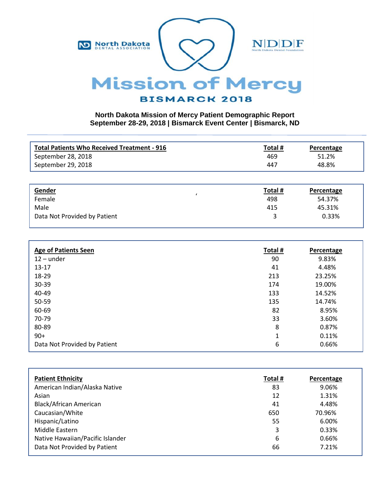

| <b>Total Patients Who Received Treatment - 916</b> | Total #    | Percentage       |
|----------------------------------------------------|------------|------------------|
| September 28, 2018                                 | 469        | 51.2%            |
| September 29, 2018                                 | 447        | 48.8%            |
|                                                    |            |                  |
|                                                    |            |                  |
| Gender                                             | Total #    | Percentage       |
| Female<br>Male                                     | 498<br>415 | 54.37%<br>45.31% |

| <b>Age of Patients Seen</b>  | Total # | Percentage |
|------------------------------|---------|------------|
| $12$ – under                 | 90      | 9.83%      |
| $13 - 17$                    | 41      | 4.48%      |
| 18-29                        | 213     | 23.25%     |
| 30-39                        | 174     | 19.00%     |
| 40-49                        | 133     | 14.52%     |
| 50-59                        | 135     | 14.74%     |
| 60-69                        | 82      | 8.95%      |
| 70-79                        | 33      | 3.60%      |
| 80-89                        | 8       | 0.87%      |
| $90+$                        | 1       | 0.11%      |
| Data Not Provided by Patient | 6       | 0.66%      |

| <b>Patient Ethnicity</b>         | Total # | Percentage |
|----------------------------------|---------|------------|
| American Indian/Alaska Native    | 83      | 9.06%      |
| Asian                            | 12      | 1.31%      |
| <b>Black/African American</b>    | 41      | 4.48%      |
| Caucasian/White                  | 650     | 70.96%     |
| Hispanic/Latino                  | 55      | 6.00%      |
| Middle Eastern                   | 3       | 0.33%      |
| Native Hawaiian/Pacific Islander | 6       | 0.66%      |
| Data Not Provided by Patient     | 66      | 7.21%      |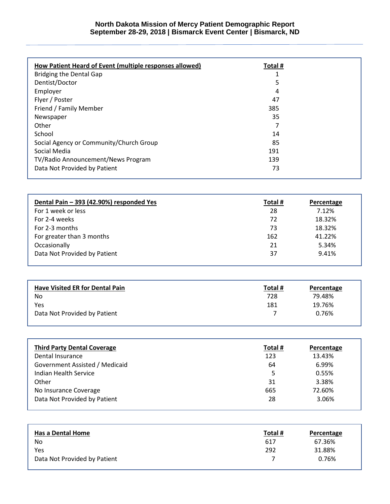| How Patient Heard of Event (multiple responses allowed) | Total # |
|---------------------------------------------------------|---------|
| <b>Bridging the Dental Gap</b>                          |         |
| Dentist/Doctor                                          | 5       |
| Employer                                                | 4       |
| Flyer / Poster                                          | 47      |
| Friend / Family Member                                  | 385     |
| Newspaper                                               | 35      |
| Other                                                   |         |
| School                                                  | 14      |
| Social Agency or Community/Church Group                 | 85      |
| Social Media                                            | 191     |
| TV/Radio Announcement/News Program                      | 139     |
| Data Not Provided by Patient                            | 73      |

| Dental Pain - 393 (42.90%) responded Yes | Total # | Percentage |
|------------------------------------------|---------|------------|
| For 1 week or less                       | 28      | 7.12%      |
| For 2-4 weeks                            | 72      | 18.32%     |
| For 2-3 months                           | 73      | 18.32%     |
| For greater than 3 months                | 162     | 41.22%     |
| Occasionally                             | 21      | 5.34%      |
| Data Not Provided by Patient             | 37      | 9.41%      |

| <b>Have Visited ER for Dental Pain</b> | Total # | Percentage |
|----------------------------------------|---------|------------|
| No.                                    | 728     | 79.48%     |
| Yes                                    | 181     | 19.76%     |
| Data Not Provided by Patient           |         | 0.76%      |

| <b>Third Party Dental Coverage</b><br>Dental Insurance<br>Government Assisted / Medicaid<br>Indian Health Service | Total #<br>123<br>64 | Percentage<br>13.43%<br>6.99%<br>0.55% |
|-------------------------------------------------------------------------------------------------------------------|----------------------|----------------------------------------|
| Other                                                                                                             | 31                   | 3.38%                                  |
| No Insurance Coverage                                                                                             | 665                  | 72.60%                                 |
| Data Not Provided by Patient                                                                                      | 28                   | 3.06%                                  |

| Has a Dental Home            | Total # | Percentage |
|------------------------------|---------|------------|
| No                           | 617     | 67.36%     |
| Yes                          | 292     | 31.88%     |
| Data Not Provided by Patient |         | 0.76%      |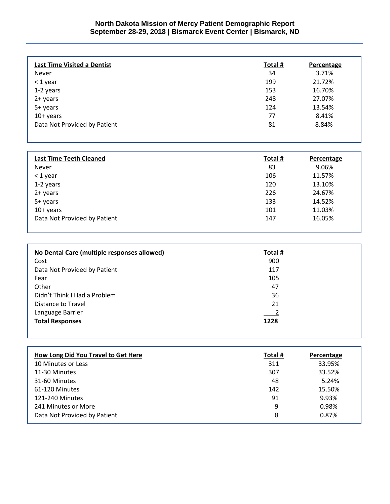| <b>Last Time Visited a Dentist</b> | Total # | Percentage |
|------------------------------------|---------|------------|
| Never                              | 34      | 3.71%      |
| $<$ 1 year                         | 199     | 21.72%     |
| 1-2 years                          | 153     | 16.70%     |
| $2 + years$                        | 248     | 27.07%     |
| 5+ years                           | 124     | 13.54%     |
| $10+$ years                        | 77      | 8.41%      |
| Data Not Provided by Patient       | 81      | 8.84%      |

| <b>Last Time Teeth Cleaned</b> | Total # | Percentage |
|--------------------------------|---------|------------|
| Never                          | 83      | 9.06%      |
| $<$ 1 year                     | 106     | 11.57%     |
| 1-2 years                      | 120     | 13.10%     |
| 2+ years                       | 226     | 24.67%     |
| 5+ years                       | 133     | 14.52%     |
| $10+$ years                    | 101     | 11.03%     |
| Data Not Provided by Patient   | 147     | 16.05%     |

| No Dental Care (multiple responses allowed) | Total # |
|---------------------------------------------|---------|
| Cost                                        | 900     |
| Data Not Provided by Patient                | 117     |
| Fear                                        | 105     |
| Other                                       | 47      |
| Didn't Think I Had a Problem                | 36      |
| Distance to Travel                          | 21      |
| Language Barrier                            |         |
| <b>Total Responses</b>                      | 1228    |

| How Long Did You Travel to Get Here | Total # | Percentage |
|-------------------------------------|---------|------------|
| 10 Minutes or Less                  | 311     | 33.95%     |
| 11-30 Minutes                       | 307     | 33.52%     |
| 31-60 Minutes                       | 48      | 5.24%      |
| 61-120 Minutes                      | 142     | 15.50%     |
| 121-240 Minutes                     | 91      | 9.93%      |
| 241 Minutes or More                 | 9       | 0.98%      |
| Data Not Provided by Patient        | 8       | 0.87%      |